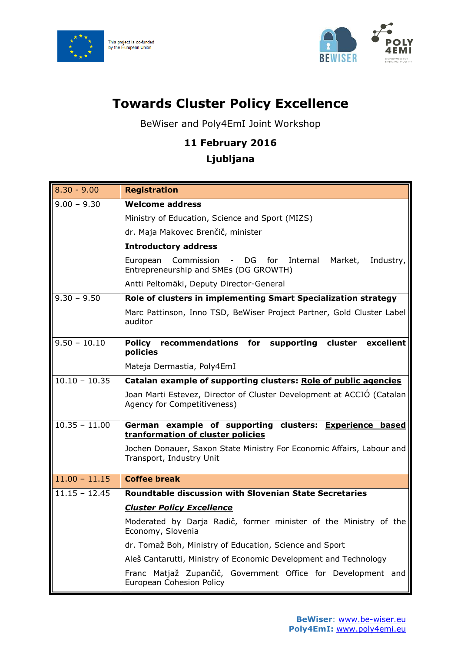



## **Towards Cluster Policy Excellence**

BeWiser and Poly4EmI Joint Workshop

## **11 February 2016**

## **Ljubljana**

| $8.30 - 9.00$   | <b>Registration</b>                                                                                          |
|-----------------|--------------------------------------------------------------------------------------------------------------|
| $9.00 - 9.30$   | <b>Welcome address</b>                                                                                       |
|                 | Ministry of Education, Science and Sport (MIZS)                                                              |
|                 | dr. Maja Makovec Brenčič, minister                                                                           |
|                 | <b>Introductory address</b>                                                                                  |
|                 | European<br>Commission - DG for<br>Internal<br>Market,<br>Industry,<br>Entrepreneurship and SMEs (DG GROWTH) |
|                 | Antti Peltomäki, Deputy Director-General                                                                     |
| $9.30 - 9.50$   | Role of clusters in implementing Smart Specialization strategy                                               |
|                 | Marc Pattinson, Inno TSD, BeWiser Project Partner, Gold Cluster Label<br>auditor                             |
| $9.50 - 10.10$  | Policy recommendations for supporting cluster excellent<br>policies                                          |
|                 | Mateja Dermastia, Poly4EmI                                                                                   |
| $10.10 - 10.35$ | Catalan example of supporting clusters: Role of public agencies                                              |
|                 | Joan Marti Estevez, Director of Cluster Development at ACCIO (Catalan<br>Agency for Competitiveness)         |
| $10.35 - 11.00$ | German example of supporting clusters: Experience based<br>tranformation of cluster policies                 |
|                 | Jochen Donauer, Saxon State Ministry For Economic Affairs, Labour and<br>Transport, Industry Unit            |
| $11.00 - 11.15$ | <b>Coffee break</b>                                                                                          |
| $11.15 - 12.45$ | <b>Roundtable discussion with Slovenian State Secretaries</b>                                                |
|                 | <b>Cluster Policy Excellence</b>                                                                             |
|                 | Moderated by Darja Radič, former minister of the Ministry of the<br>Economy, Slovenia                        |
|                 | dr. Tomaž Boh, Ministry of Education, Science and Sport                                                      |
|                 | Aleš Cantarutti, Ministry of Economic Development and Technology                                             |
|                 | Franc Matjaž Zupančič, Government Office for Development and<br>European Cohesion Policy                     |